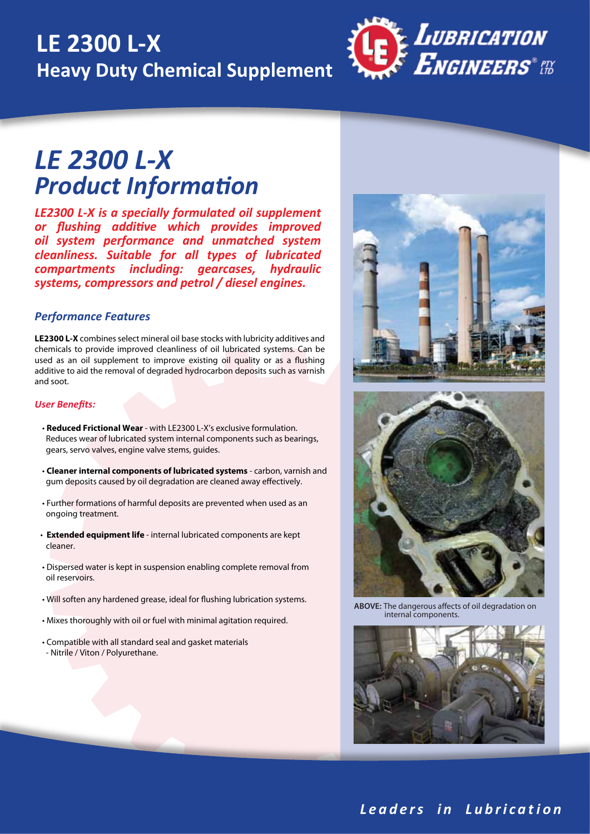## **LE 2300 L-X Heavy Duty Chemical Supplement**



### *Product Information LE 2300 L-X*

*LE2300 L-X is a specially formulated oil supplement or flushing additive which provides improved oil system performance and unmatched system cleanliness. Suitable for all types of lubricated compartments including: gearcases, hydraulic systems, compressors and petrol / diesel engines.*

### *Performance Features*

**LE2300 L-X** combines select mineral oil base stocks with lubricity additives and chemicals to provide improved cleanliness of oil lubricated systems. Can be used as an oil supplement to improve existing oil quality or as a flushing additive to aid the removal of degraded hydrocarbon deposits such as varnish and soot.

#### *User Benefits:*

- **Reduced Frictional Wear** with LE2300 L-X's exclusive formulation. Reduces wear of lubricated system internal components such as bearings, gears, servo valves, engine valve stems, guides.
- **Cleaner internal components of lubricated systems** carbon, varnish and gum deposits caused by oil degradation are cleaned away effectively.
- Further formations of harmful deposits are prevented when used as an ongoing treatment.
- **Extended equipment life** internal lubricated components are kept cleaner.
- Dispersed water is kept in suspension enabling complete removal from oil reservoirs.
- Will soften any hardened grease, ideal for flushing lubrication systems.
- Mixes thoroughly with oil or fuel with minimal agitation required.
- Compatible with all standard seal and gasket materials - Nitrile / Viton / Polyurethane.



**ABOVE:** The dangerous affects of oil degradation on internal components.



### *L e a d e r s i n L u b r i c a t i o n*